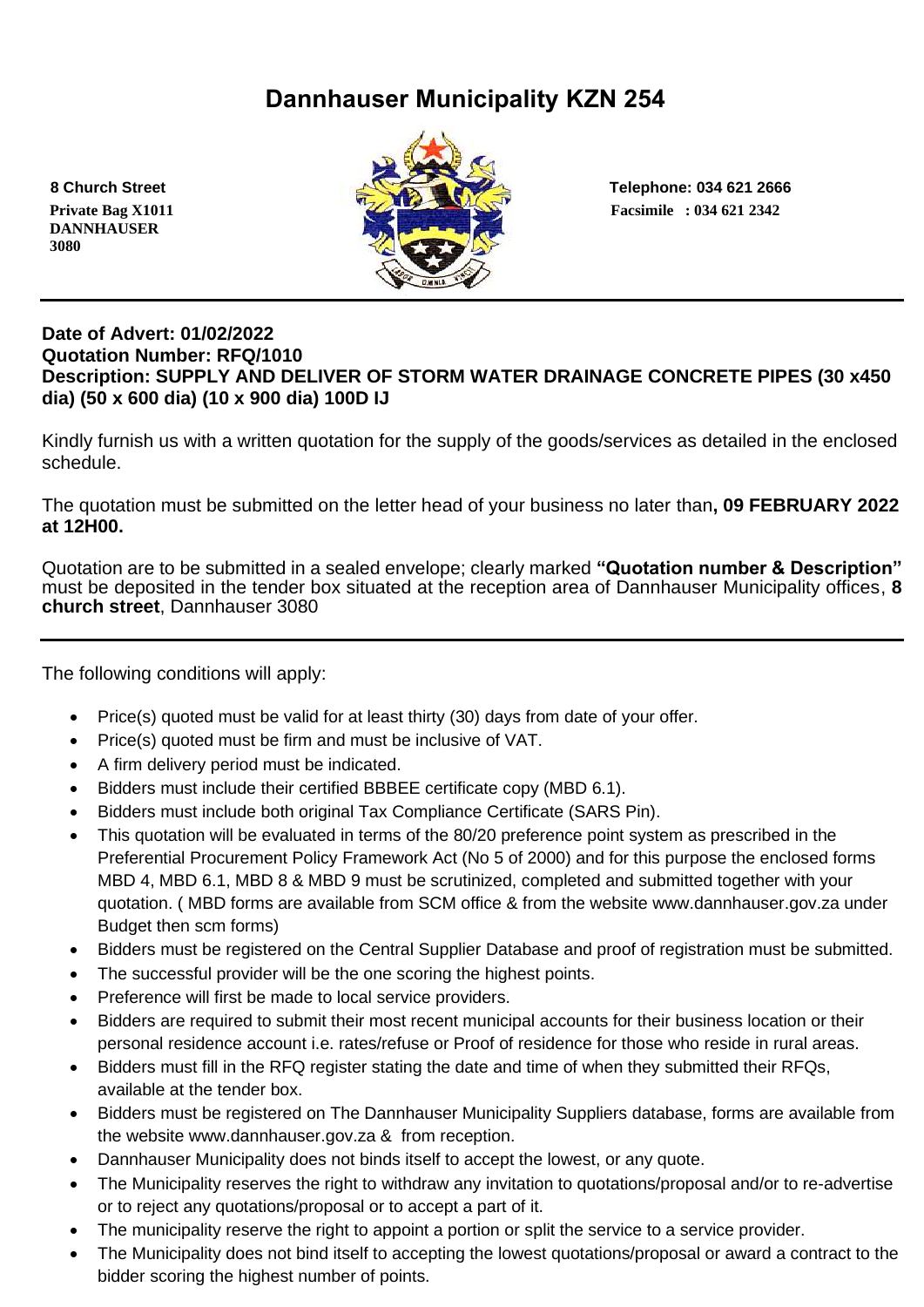# **Dannhauser Municipality KZN 254**

 **DANNHAUSER 3080** 



 **8 Church Street Telephone: 034 621 2666**

## **Date of Advert: 01/02/2022 Quotation Number: RFQ/1010 Description: SUPPLY AND DELIVER OF STORM WATER DRAINAGE CONCRETE PIPES (30 x450 dia) (50 x 600 dia) (10 x 900 dia) 100D IJ**

Kindly furnish us with a written quotation for the supply of the goods/services as detailed in the enclosed schedule.

The quotation must be submitted on the letter head of your business no later than**, 09 FEBRUARY 2022 at 12H00.**

Quotation are to be submitted in a sealed envelope; clearly marked **"Quotation number & Description"** must be deposited in the tender box situated at the reception area of Dannhauser Municipality offices, **8 church street**, Dannhauser 3080

The following conditions will apply:

- Price(s) quoted must be valid for at least thirty (30) days from date of your offer.
- Price(s) quoted must be firm and must be inclusive of VAT.
- A firm delivery period must be indicated.
- Bidders must include their certified BBBEE certificate copy (MBD 6.1).
- Bidders must include both original Tax Compliance Certificate (SARS Pin).
- This quotation will be evaluated in terms of the 80/20 preference point system as prescribed in the Preferential Procurement Policy Framework Act (No 5 of 2000) and for this purpose the enclosed forms MBD 4, MBD 6.1, MBD 8 & MBD 9 must be scrutinized, completed and submitted together with your quotation. ( MBD forms are available from SCM office & from the website www.dannhauser.gov.za under Budget then scm forms)
- Bidders must be registered on the Central Supplier Database and proof of registration must be submitted.
- The successful provider will be the one scoring the highest points.
- Preference will first be made to local service providers.
- Bidders are required to submit their most recent municipal accounts for their business location or their personal residence account i.e. rates/refuse or Proof of residence for those who reside in rural areas.
- Bidders must fill in the RFQ register stating the date and time of when they submitted their RFQs, available at the tender box.
- Bidders must be registered on The Dannhauser Municipality Suppliers database, forms are available from the website www.dannhauser.gov.za & from reception.
- Dannhauser Municipality does not binds itself to accept the lowest, or any quote.
- The Municipality reserves the right to withdraw any invitation to quotations/proposal and/or to re-advertise or to reject any quotations/proposal or to accept a part of it.
- The municipality reserve the right to appoint a portion or split the service to a service provider.
- The Municipality does not bind itself to accepting the lowest quotations/proposal or award a contract to the bidder scoring the highest number of points.